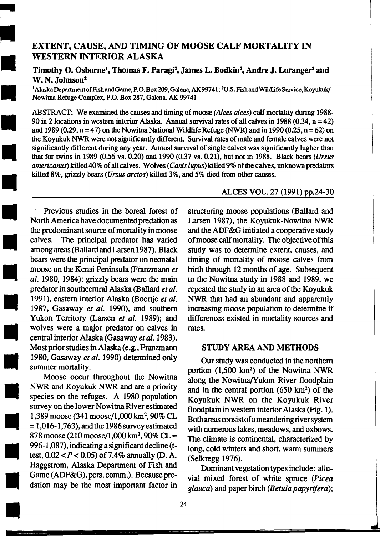# •<br>•<br>• EXTENT, CAUSE, AND TIMING OF MOOSE CALF MORTALITY IN WESTERN INTERIOR ALASKA

Timothy O. Osborne<sup>1</sup>, Thomas F. Paragi<sup>2</sup>, James L. Bodkin<sup>2</sup>, Andre J. Loranger<sup>2</sup> and W. N. Johnson<sup>2</sup>

1 AlaskaDepartmentofFishandGame,P.O.Box209,Galena,AK99741; <sup>2</sup>U.S.FishandWildlifeService,Koyukuk/ Nowitna Refuge Complex, P.O. Box 287, Galena, AK 99741

•  $\begin{array}{c}\n\bullet \\
\bullet \\
\bullet \\
\bullet \\
\bullet \\
\bullet\n\end{array}$ ABSTRACT: We examined the causes and timing of moose (Alces alces) calf mortality during 1988-90 in 2locations in western interior Alaska. Annual survival rates of all calves in 1988 (0.34, n = 42) and 1989 (0.29,  $n = 47$ ) on the Nowitna National Wildlife Refuge (NWR) and in 1990 (0.25,  $n = 62$ ) on the Koyukuk NWR were not significantly different. Survival rates of male and female calves were not significantly different during any year. Annual survival of single calves was significantly higher than that for twins in 1989 (0.56 vs. 0.20) and 1990 (0.37 vs. 0.21), but not in 1988. Black bears (Ursus americanus) killed 40% of all calves. Wolves (Canis lupus) killed 9% of the calves, unknown predators killed 8%, grizzly bears (Ursus arctos) killed 3%, and 5% died from other causes.

 $\begin{array}{c} \begin{array}{c} \begin{array}{c} \begin{array}{c} \end{array}\\ \begin{array}{c} \end{array}\\ \begin{array}{c} \end{array}\\ \begin{array}{c} \end{array}\\ \begin{array}{c} \end{array}\\ \begin{array}{c} \end{array}\\ \begin{array}{c} \end{array}\\ \begin{array}{c} \end{array}\\ \begin{array}{c} \end{array}\\ \begin{array}{c} \end{array}\\ \begin{array}{c} \end{array}\\ \begin{array}{c} \end{array}\\ \begin{array}{c} \end{array}\\ \begin{array}{c} \end{array}\\ \begin{array}{c} \end{array}\\ \begin{array}{c} \end{array}\\ \begin{array}{c}$ a<br>a<br>b<br>m<br>m<br>m  $\begin{array}{c}\n\hline\n\text{b} \\
\text{m} \\
\text{m} \\
\text{m} \\
\text{p} \\
\text{m}\n\end{array}$ • • **19**<br>• 19<br>• 19<br>• 19<br>• N Previous studies in the boreal forest of North America have documented predation as the predominant source of mortality in moose calves. The principal predator has varied among areas (Ballard and Larsen 1987). Black bears were the principal predator on neonatal moose on the Kenai Peninsula (Franzmann *et al.* 1980, 1984); grizzly bears were the main predator in southcentral Alaska (Ballard *et al.*  1991), eastern interior Alaska (Boertje *eta/.*  1987, Gasaway *et al.* 1990), and southern Yukon Territory (Larsen *et al.* 1989); and wolves were a major predator on calves in central interior Alaska (Gasaway *et* al. 1983). Most prior studies in Alaska (e.g., Franzmann 1980, Gasaway *et al.* 1990) detennined only summer mortality.

..

•  $\frac{1}{80}$ <br> $\frac{1}{87}$ <br> $\frac{1}{87}$ <br> $\frac{87}{99}$ e 37<br>
99<br>
es Ha<br>
Ga Ha<br>Ga<br>da • Moose occur throughout the Nowitna NWR and Koyukuk NWR and are a priority species on the refuges. A 1980 population survey on the lower Nowitna River estimated 1,389 moose (341 moose/1,000 km<sup>2</sup>, 90% CL  $= 1,016-1,763$ , and the 1986 survey estimated 878 moose  $(210 \text{ moose}/1,000 \text{ km}^2,90\% \text{ CL} =$ 996-1 ,087), indicating a significant decline (ttest,  $0.02 < P < 0.05$ ) of 7.4% annually (D. A. Haggstrom, Alaska Department of Fish and Game (ADF&G), pers. comm.). Because predation may be the most important factor in

ALCES VOL. 27 (1991) pp.24-30

structuring moose populations (Ballard and Larsen 1987), the Koyukuk-Nowitna NWR and the ADF&G initiated a cooperative study of moose calf mortality. The objective of this study was to determine extent, causes, and timing of mortality of moose calves from birth through 12 months of age. Subsequent to the Nowitna study in 1988 and 1989, we repeated the study in an area of the Koyukuk NWR that had an abundant and apparently increasing moose population to detennine if differences existed in mortality sources and rates.

# STUDY AREA AND METHODS

Our study was conducted in the northern portion  $(1,500 \text{ km}^2)$  of the Nowitna NWR along the Nowitna/Yukon River floodplain and in the central portion  $(650 \text{ km}^2)$  of the Koyukuk NWR on the Koyukuk River floodplain in western interior Alaska (Fig. 1). Both areas consist of a meandering river system with numerous lakes, meadows, and oxbows. The climate is continental, characterized by long, cold winters and short, warm summers (Selkregg 1976).

Dominant vegetation types include: alluvial mixed forest of white spruce *(Picea glauca)* and paper birch *(Betula papyrifera);*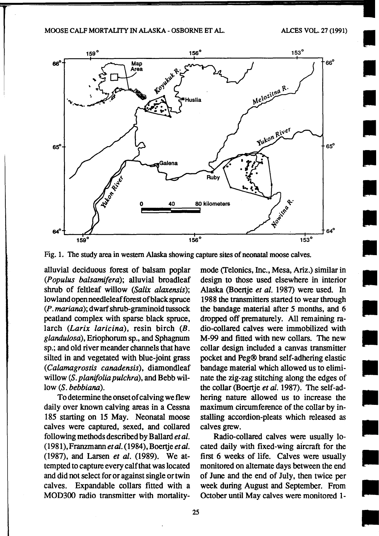#### MOOSE CALF MORTALITY IN ALASKA - OSBORNE ET AL. ALCES VOL. 27 (1991)

I

I

I

**I** 

**I** 

I

I

I

•

•

•

•

•



Fig. 1. The study area in western Alaska showing capture sites of neonatal moose calves.

alluvial deciduous forest of balsam poplar *(Populus balsamifera);* alluvial broadleaf shrub of feltleaf willow *(Salix alaxensis);*  lowland open needleleaf forest of black spruce *(P. mariana);* dwarf shrub-graminoid tussock peatland complex with sparse black spruce, larch *(Larix laricina),* resin birch *(B. glandulosa),* Eriophorum sp., and Sphagnum sp.; and old river meander channels that have silted in and vegetated with blue-joint grass *(Calamagrostis canadensis),* diamondleaf willow (S. *planifolia pulchra),* and Bebb willow (S. *bebbiana).* 

To determine the onset of calving we flew daily over known calving areas in a Cessna 185 starting on 15 May. Neonatal moose calves were captured, sexed, and collared following methods described by Ballard *et al.*  (1981 ), Franzmann *et* al. ( 1984), Boertje *et* al. (1987), and Larsen *et al.* (1989). We attempted to capture every calf that was located and did not select for or against single or twin calves. Expandable collars fitted with a MOD300 radio transmitter with mortalitymode (felonies, Inc., Mesa, Ariz.) similar in design to those used elsewhere in interior Alaska (Boertje *et al.* 1987) were used. In 1988 the transmitters started to wear through the bandage material after *5* months, and 6 dropped off prematurely. All remaining radio-collared calves were immobilized with M-99 and fitted with new collars. The new collar design included a canvas transmitter pocket and Peg® brand self-adhering elastic bandage material which allowed us to eliminate the zig-zag stitching along the edges of the collar (Boertje *et al.* 1987). The self-adhering nature allowed us to increase the maximum circumference of the collar by installing accordion-pleats which released as calves grew.

Radio-collared calves were usually located daily with fixed-wing aircraft for the first 6 weeks of life. Calves were usually monitored on alternate days between the end of June and the end of July, then twice per week during August and September. From October until May calves were monitored 1-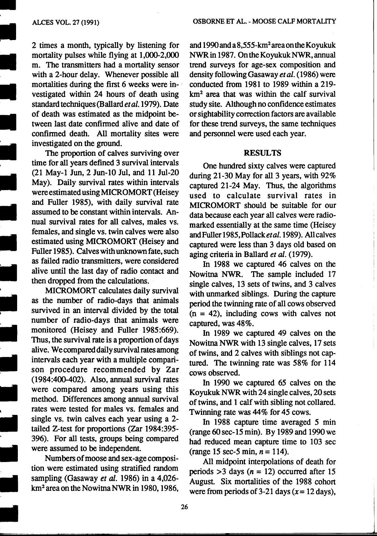#### ALCES VOL. 27 (1991)

•

2 times a month, typically by listening for mortality pulses while flying at 1,000-2,000 m. The transmitters had a mortality sensor with a 2-hour delay. Whenever possible all mortalities during the first 6 weeks were investigated within 24 hours of death using standard techniques (Ballard et al. 1979). Date of death was estimated as the midpoint between last date confirmed alive and date of confirmed death. All mortality sites were investigated on the ground.

•<br>•<br>• • The proportion of calves surviving over time for all years defined 3 survival intervals (21 May-1 Jun, 2 Jun-10 Jul, and 11 Jul-20 May). Daily survival rates within intervals wereestimatedusingMICROMORT(Heisey and Fuller 1985), with daily survival rate assumed to be constant within intervals. Annual survival rates for all calves, males vs. females, and single vs. twin calves were also estimated using MICROMORT (Heisey and Fuller 1985). Calves with unknown fate, such as failed radio transmitters, were considered alive until the last day of radio contact and then dropped from the calculations.

• –<br>•<br>• • MICROMORT calculates daily survival as the number of radio-days that animals survived in an interval divided by the total number of radio-days that animals were monitored (Heisey and Fuller 1985:669). Thus, the survival rate is a proportion of days alive. We compared daily survival rates among intervals each year with a multiple comparison procedure recommended by Zar (1984:400-402). Also, annual survival rates were compared among years using this method. Differences among annual survival rates were tested for males vs. females and single vs. twin calves each year using a 2 tailed Z-test for proportions (Zar 1984:395- 396). For all tests, groups being compared were assumed to be independent.

• Numbers of moose and sex-age composition were estimated using stratified random sampling (Gasaway *et al.* 1986) in a 4,026 km<sup>2</sup> area on the Nowitna NWR in 1980, 1986,

and 1990 and a 8,555-km2 area on the Koyukuk NWR in 1987. On the Koyukuk NWR, annual trend surveys for age-sex composition and density following Gasaway *et al.* ( 1986) were conducted from 1981 to 1989 within a 219 km2 area that was within the calf survival study site. Although no confidence estimates or sightability correction factors are available for these trend surveys, the same techniques and personnel were used each year.

#### RESULTS

One hundred sixty calves were captured during 21-30 May for all 3 years, with 92% captured 21-24 May. Thus, the algorithms used to calculate survival rates in MICROMORT should be suitable for our data because each year all calves were radiomarked essentially at the same time (Heisey and Fuller 1985, Pollack et al. 1989). All calves captured were less than 3 days old based on aging criteria in Ballard *et* al. (1979).

In 1988 we captured 46 calves on the Nowitna NWR. The sample included 17 single calves, 13 sets of twins, and 3 calves with unmarked siblings. During the capture period the twinning rate of all cows observed  $(n = 42)$ , including cows with calves not captured, was 48%.

In 1989 we captured 49 calves on the Nowitna NWR with 13 single calves, 17 sets of twins, and 2 calves with siblings not captured. The twinning rate was 58% for 114 cows observed.

In 1990 we captured 65 calves on the Koyukuk NWR with 24 single calves, 20 sets of twins, and 1 calf with sibling not collared. Twinning rate was 44% for 45 cows.

In 1988 capture time averaged 5 min (range 60 sec-15 min). By 1989 and 1990 we had reduced mean capture time to 103 sec  $(range 15 sec-5 min, n = 114).$ 

All midpoint interpolations of death for periods  $>3$  days ( $n = 12$ ) occurred after 15 August. Six mortalities of the 1988 cohort were from periods of 3-21 days  $(x = 12 \text{ days})$ ,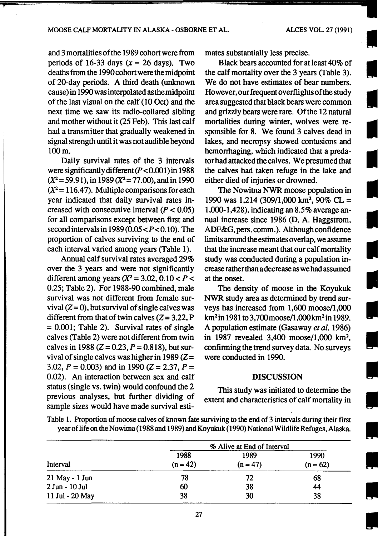I

I

I

I

I

I

I

I

I

I

•

•<br>•<br>•

I

I

I

I

•

and3mortalitiesofthe 1989cohortwerefrom periods of 16-33 days ( $x = 26$  days). Two deaths from the 1990 cohort were the midpoint of 20-day periods. A third death (unknown cause) in 1990 was interpolated as the midpoint of the last visual on the calf (10 Oct) and the next time we saw its radio-collared sibling and mother without it (25 Feb). This last calf had a transmitter that gradually weakened in signal strength until it was not audible beyond lOOm.

Daily survival rates of the 3 intervals were significantly different  $(P<0.001)$  in 1988  $(X^2 = 59.91)$ , in 1989  $(X^2 = 77.00)$ , and in 1990  $(X^2 = 116.47)$ . Multiple comparisons for each year indicated that daily survival rates in creased with consecutive interval  $(P < 0.05)$ for all comparisons except between first and second intervals in 1989 (0.05  $\lt P \lt 0.10$ ). The proportion of calves surviving to the end of each interval varied among years (Table 1).

Annual calf survival rates averaged 29% over the 3 years and were not significantly different among years  $(X^2 = 3.02, 0.10 < P <$ 0.25; Table 2). For 1988-90 combined, male survival was not different from female survival  $(Z=0)$ , but survival of single calves was different from that of twin calves  $(Z = 3.22, P)$  $= 0.001$ ; Table 2). Survival rates of single calves (Table 2) were not different from twin calves in 1988 ( $Z = 0.23$ ,  $P = 0.818$ ), but survival of single calves was higher in 1989 ( $Z=$ 3.02,  $P = 0.003$ ) and in 1990 ( $Z = 2.37$ ,  $P =$ 0.02). An interaction between sex and calf status (single vs. twin) would confound the 2 previous analyses, but further dividing of sample sizes would have made survival estimates substantially less precise.

Black bears accounted for at least 40% of the calf mortality over the 3 years (Table 3). We do not have estimates of bear numbers. However, our frequent overflights of the study area suggested that black bears were common and grizzly bears were rare. Of the 12 natural mortalities during winter, wolves were responsible for 8. We found 3 calves dead in lakes, and necropsy showed contusions and hemorrhaging, which indicated that a predator had attacked the calves. We presumed that the calves had taken refuge in the lake and either died of injuries or drowned.

The Nowitna NWR moose population in 1990 was 1,214 (309/1,000 km<sup>2</sup>, 90% CL = 1,000-1,428), indicating an 8.5% average annual increase since 1986 (D. A. Haggstrom, ADF&G, pers. comm.). Although confidence limits around the estimates overlap, we assume that the increase meant that our calf mortality study was conducted during a population increase ratherthan a decrease as we had assumed at the onset.

The density of moose in the Koyukuk NWR study area as determined by trend surveys has increased from 1,600 moose/1,000 km<sup>2</sup> in 1981 to 3,700moose/1,000km2 in 1989. A population estimate (Gasaway *et al.* 1986) in 1987 revealed 3,400 moose/1,000 km2, confirming the trend survey data. No surveys were conducted in 1990.

## DISCUSSION

This study was initiated to determine the extent and characteristics of calf mortality in

|                    | % Alive at End of Interval |                    |                          |  |  |  |
|--------------------|----------------------------|--------------------|--------------------------|--|--|--|
| Interval           | 1988<br>$(n = 42)$         | 1989<br>$(n = 47)$ | 1990<br>$(n = 62)$<br>68 |  |  |  |
| $21$ May - $1$ Jun | 78                         | 72                 |                          |  |  |  |
| 2 Jun - 10 Jul     | 60                         | 38                 | 44                       |  |  |  |
| 11 Jul - 20 May    | 38                         | 30                 | 38                       |  |  |  |

Table 1. Proportion of moose calves of known fate surviving to the end of 3 intervals during their first year oflife on the Nowitna (1988 and 1989) and Koyukuk (1990) National Wildlife Refuges, Alaska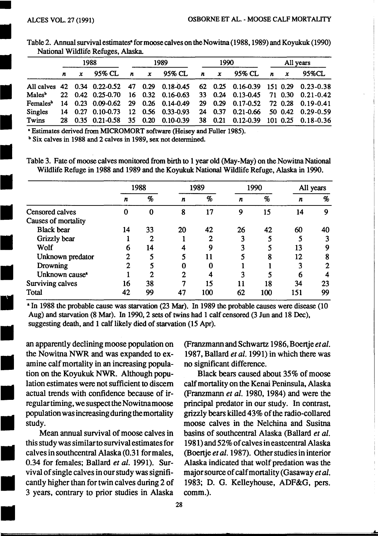•

I

I

I

I

I

I<br>I<br>I

I

I

| 1988 |  |  | 1989                                    |  |                                                             | 1990                                                                                                        |                                     |                                   | All years |  |                                                                                                                                                                                                                                                                                                                           |
|------|--|--|-----------------------------------------|--|-------------------------------------------------------------|-------------------------------------------------------------------------------------------------------------|-------------------------------------|-----------------------------------|-----------|--|---------------------------------------------------------------------------------------------------------------------------------------------------------------------------------------------------------------------------------------------------------------------------------------------------------------------------|
|      |  |  |                                         |  |                                                             |                                                                                                             |                                     | 95% CL                            |           |  | 95%CL                                                                                                                                                                                                                                                                                                                     |
|      |  |  |                                         |  |                                                             |                                                                                                             |                                     |                                   |           |  |                                                                                                                                                                                                                                                                                                                           |
|      |  |  |                                         |  |                                                             |                                                                                                             |                                     |                                   |           |  |                                                                                                                                                                                                                                                                                                                           |
|      |  |  |                                         |  |                                                             |                                                                                                             |                                     |                                   |           |  |                                                                                                                                                                                                                                                                                                                           |
|      |  |  |                                         |  |                                                             |                                                                                                             |                                     |                                   |           |  |                                                                                                                                                                                                                                                                                                                           |
|      |  |  |                                         |  |                                                             |                                                                                                             |                                     |                                   |           |  |                                                                                                                                                                                                                                                                                                                           |
|      |  |  | $n \times 95\%$ CL<br>14 0.27 0.10-0.73 |  | <b>NATIONAL WIRTHER REIDES, ARASKA.</b><br>$\boldsymbol{n}$ | 95% CL<br>$\boldsymbol{x}$<br>Females <sup>b</sup> 14 0.23 0.09-0.62 29 0.26 0.14-0.49<br>12 0.56 0.33-0.93 | 28 0.35 0.21-0.58 35 0.20 0.10-0.39 | $\boldsymbol{n}$ $\boldsymbol{x}$ |           |  | $\boldsymbol{n}$ $\boldsymbol{x}$<br>All calves 42 0.34 0.22-0.52 47 0.29 0.18-0.45 62 0.25 0.16-0.39 151 0.29 0.23-0.38<br>22 0.42 0.25-0.70 16 0.32 0.16-0.63 33 0.24 0.13-0.45 71 0.30 0.21-0.42<br>29 0.29 0.17-0.52 72 0.28 0.19-0.41<br>24 0.37 0.21-0.66 50 0.42 0.29-0.59<br>38 0.21 0.12-0.39 101 0.25 0.18-0.36 |

Table 2. Annual survival estimates• for moose calves on theNowitna (1988, 1989) and Koyukuk (1990) National Wildlife Refuges, Alaska.

• Estimates derived from MICROMORT software (Heisey and Fuller 1985).

<sup>b</sup> Six calves in 1988 and 2 calves in 1989, sex not determined.

Table 3. Fate of moose calves monitored from birth to 1 year old (May-May) on the Nowitna National Wildlife Refuge in 1988 and 1989 and the Koyukuk National Wildlife Refuge, Alaska in 1990.

|                            | 1988 |                 | 1989 |                 | 1990 |      | All years |    |
|----------------------------|------|-----------------|------|-----------------|------|------|-----------|----|
|                            | n    | $\mathcal{G}_0$ | n    | $\mathcal{G}_0$ | n    | $\%$ | n         | %  |
| Censored calves            | 0    | 0               | 8    | 17              | 9    | 15   | 14        | 9  |
| Causes of mortality        |      |                 |      |                 |      |      |           |    |
| <b>Black bear</b>          | 14   | 33              | 20   | 42              | 26   | 42   | 60        | 40 |
| Grizzly bear               |      | $\overline{2}$  |      |                 | 3    |      |           |    |
| Wolf                       | 6    | 14              |      | Q               | 3    |      | 13        |    |
| Unknown predator           | 2    |                 |      | 11              | 5    | ጸ    | 12        |    |
| Drowning                   | 2    |                 |      | 0               |      |      |           |    |
| Unknown cause <sup>*</sup> |      | $\mathbf{2}$    |      |                 |      |      | 6         |    |
| Surviving calves           | 16   | 38              |      | 15              | 11   | 18   | 34        | 23 |
| Total                      | 42   | 99              | 47   | 100             | 62   | 100  | 151       | 99 |

tic<br>la<br>la<br>re<br>pc<br>pc re posted<br>and the posted of the contract of the contract of the contract of the contract of the contract of the contract of the contract of the contract of the contract of the contract of the contract of the contract of th an apparently declining moose population on the Nowitna NWR and was expanded to examine calf mortality in an increasing population on the Koyukuk NWR. Although population estimates were not sufficient to discern actual trends with confidence because of irregular timing, we suspect the Nowitnamoose population was increasing during the mortality study.

 $\begin{bmatrix}\n\text{th} \\
\text{ca} \\
\text{O.3}\n\end{bmatrix}$  $\begin{bmatrix}\n0.5 \\
0.5 \\
0.8\n\end{bmatrix}$  $\begin{array}{c} \begin{array}{c} 3 \\ \hline \end{array} \end{array}$ Mean annual survival of moose calves in this study was similar to survival estimates for calves in southcentral Alaska (0.31 for males, 0.34 for females; Ballard *et al.* 1991). Survival of single calves in our study was significantly higher than for twin calves during 2 of 3 years, contrary to prior studies in Alaska

(Franzmann and Schwartz 1986, Boertje *et al.*  1987, Ballard *et al.* 1991) in which there was no significant difference.

Black bears caused about 35% of moose calf mortality on the Kenai Peninsula, Alaska (Franzmann *et al.* 1980, 1984) and were the principal predator in our study. In contrast, grizzly bears killed 43% of the radio-collared moose calves in the Nelchina and Susitna basins of southcentral Alaska (Ballard *et al.*  1981) and 52% of calves in eastcentral Alaska (Boertje *et al.* 1987). Other studies in interior Alaska indicated that wolf predation was the major source of calf mortality (Gasaway *et al .*  1983; D. G. Kelleyhouse, ADF&G, pers. comm.).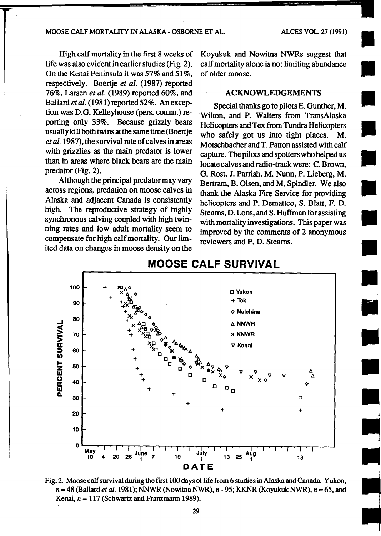#### MOOSE CALF MORT AUTY IN ALASKA- OSBORNE ET AL. ALCES VOL. 27 (1991)

**I** 

•

**•**<br>•

•

•

High calf mortality in the first 8 weeks of life was also evident in earlier studies (Fig. 2). On the Kenai Peninsula it was 57% and 51%, respectively. Boertje *et al.* (1987) reported 76%, Larsen *et al.* (1989) reported 60%, and Ballard *et al.* (1981) reported 52%. An exception was D.O. Kelleyhouse (pers. comm.) reporting only 33%. Because grizzly bears usually kill both twins at the same time (Boertje *eta/.* 1987), the survival rate of calves in areas with grizzlies as the main predator is lower than in areas where black bears are the main predator (Fig. 2).

Although the principal predator may vary across regions, predation on moose calves in Alaska and adjacent Canada is consistently high. The reproductive strategy of highly synchronous calving coupled with high twinning rates and low adult mortality seem to compensate for high calf mortality. Our limited data on changes in moose density on the

Koyukuk and Nowitna NWRs suggest that calf mortality alone is not limiting abundance of older moose.

# ACKNOWLEDGEMENTS

Special thanks go to pilots E. Gunther, M. Wilton, and P. Walters from TransAlaska Helicopters and Tex from Tundra Helicopters who safely got us into tight places. M. Motschbacher and T. Patton assisted with calf capture. The pilots and spotters who helped us locate calves and radio-track were: C. Brown, G. Rost, J. Parrish, M. Nunn, P. Lieberg, M. Bertram, B. Olsen, and M. Spindler. We also thank the Alaska Fire Service for providing helicopters and P. Dematteo, S. Blatt, F. D. Stearns, D. Lons, and S. Huffman for assisting with mortality investigations. This paper was improved by the comments of 2 anonymous reviewers and F. D. Steams.



# **MOOSE CALF SURVIVAL**

Fig. 2. Moose calf survival during the frrst 100 days of life from 6 studies in Alaska and Canada. Yukon, *<sup>n</sup>*= 48 (Ballard *et al.* 1981); NNWR (Nowitna NWR), *n-* 95; KKNR (Koyukuk NWR), *n* = 65, and Kenai,  $n = 117$  (Schwartz and Franzmann 1989).